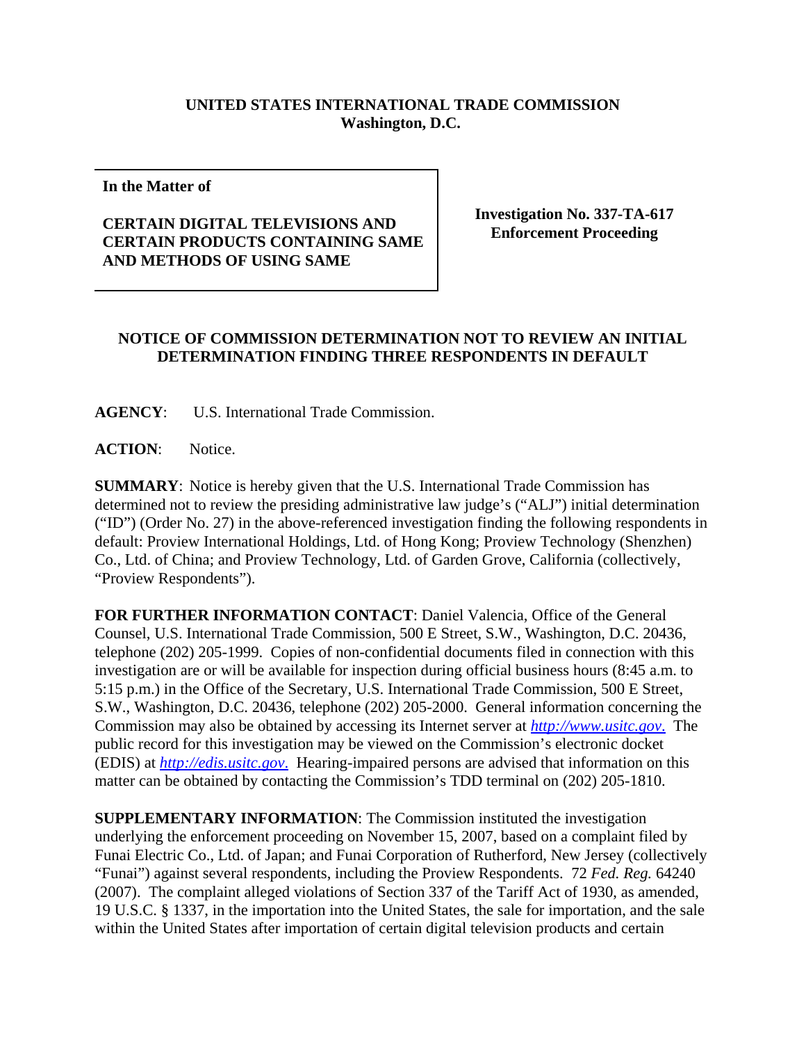## **UNITED STATES INTERNATIONAL TRADE COMMISSION Washington, D.C.**

**In the Matter of** 

## **CERTAIN DIGITAL TELEVISIONS AND CERTAIN PRODUCTS CONTAINING SAME AND METHODS OF USING SAME**

**Investigation No. 337-TA-617 Enforcement Proceeding**

## **NOTICE OF COMMISSION DETERMINATION NOT TO REVIEW AN INITIAL DETERMINATION FINDING THREE RESPONDENTS IN DEFAULT**

**AGENCY**: U.S. International Trade Commission.

**ACTION**: Notice.

**SUMMARY**: Notice is hereby given that the U.S. International Trade Commission has determined not to review the presiding administrative law judge's ("ALJ") initial determination ("ID") (Order No. 27) in the above-referenced investigation finding the following respondents in default: Proview International Holdings, Ltd. of Hong Kong; Proview Technology (Shenzhen) Co., Ltd. of China; and Proview Technology, Ltd. of Garden Grove, California (collectively, "Proview Respondents").

**FOR FURTHER INFORMATION CONTACT**: Daniel Valencia, Office of the General Counsel, U.S. International Trade Commission, 500 E Street, S.W., Washington, D.C. 20436, telephone (202) 205-1999. Copies of non-confidential documents filed in connection with this investigation are or will be available for inspection during official business hours (8:45 a.m. to 5:15 p.m.) in the Office of the Secretary, U.S. International Trade Commission, 500 E Street, S.W., Washington, D.C. 20436, telephone (202) 205-2000. General information concerning the Commission may also be obtained by accessing its Internet server at *http://www.usitc.gov*. The public record for this investigation may be viewed on the Commission's electronic docket (EDIS) at *http://edis.usitc.gov*. Hearing-impaired persons are advised that information on this matter can be obtained by contacting the Commission's TDD terminal on (202) 205-1810.

**SUPPLEMENTARY INFORMATION**: The Commission instituted the investigation underlying the enforcement proceeding on November 15, 2007, based on a complaint filed by Funai Electric Co., Ltd. of Japan; and Funai Corporation of Rutherford, New Jersey (collectively "Funai") against several respondents, including the Proview Respondents. 72 *Fed. Reg.* 64240 (2007). The complaint alleged violations of Section 337 of the Tariff Act of 1930, as amended, 19 U.S.C. § 1337, in the importation into the United States, the sale for importation, and the sale within the United States after importation of certain digital television products and certain